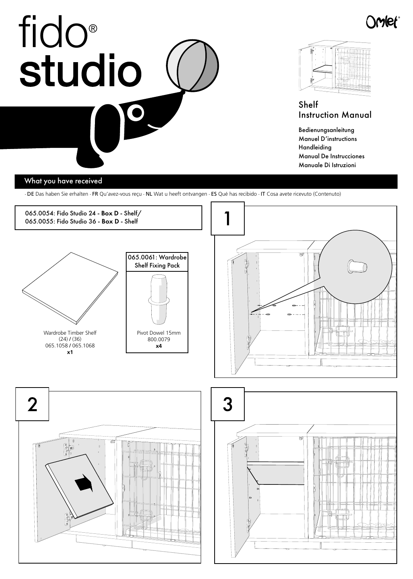## fido studio  $\bullet$  $\overline{\phantom{a}}$



)Wel

Shelf Instruction Manual

Bedienungsanleitung Manuel D'instructions Handleiding Manual De Instrucciones Manuale Di Istruzioni

## What you have received

· DE Das haben Sie erhalten · FR Qu'avez-vous reçu · NL Wat u heeft ontvangen · ES Qué has recibido · IT Cosa avete ricevuto (Contenuto)